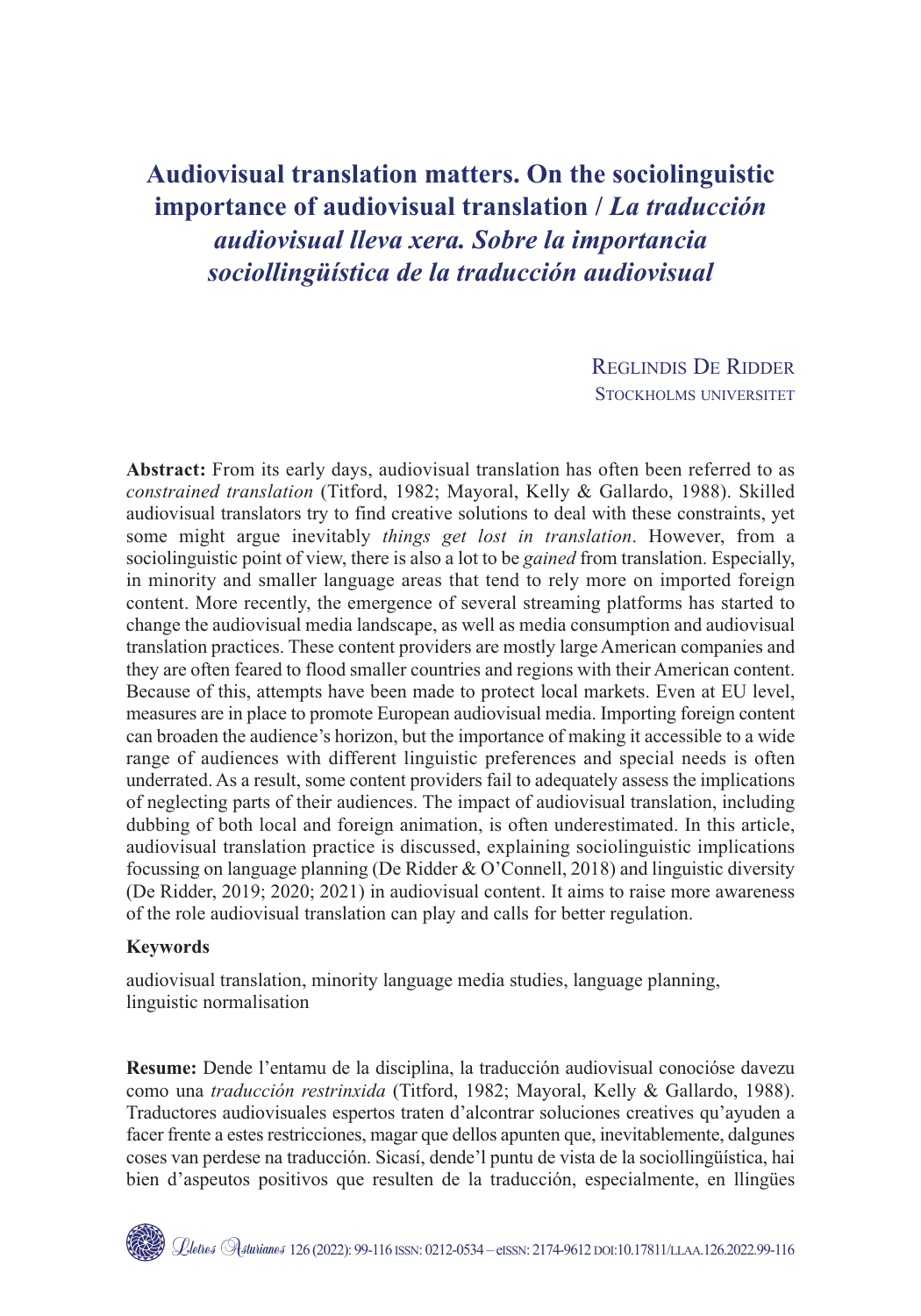# **Audiovisual translation matters. On the sociolinguistic importance of audiovisual translation /** *La traducción audiovisual lleva xera. Sobre la importancia sociollingüística de la traducción audiovisual*

REGLINDIS DE RIDDER STOCKHOLMS UNIVERSITET

**Abstract:** From its early days, audiovisual translation has often been referred to as *constrained translation* (Titford, 1982; Mayoral, Kelly & Gallardo, 1988). Skilled audiovisual translators try to find creative solutions to deal with these constraints, yet some might argue inevitably *things get lost in translation*. However, from a sociolinguistic point of view, there is also a lot to be *gained* from translation. Especially, in minority and smaller language areas that tend to rely more on imported foreign content. More recently, the emergence of several streaming platforms has started to change the audiovisual media landscape, as well as media consumption and audiovisual translation practices. These content providers are mostly large American companies and they are often feared to flood smaller countries and regions with their American content. Because of this, attempts have been made to protect local markets. Even at EU level, measures are in place to promote European audiovisual media. Importing foreign content can broaden the audience's horizon, but the importance of making it accessible to a wide range of audiences with different linguistic preferences and special needs is often underrated. As a result, some content providers fail to adequately assess the implications of neglecting parts of their audiences. The impact of audiovisual translation, including dubbing of both local and foreign animation, is often underestimated. In this article, audiovisual translation practice is discussed, explaining sociolinguistic implications focussing on language planning (De Ridder & O'Connell, 2018) and linguistic diversity (De Ridder, 2019; 2020; 2021) in audiovisual content. It aims to raise more awareness of the role audiovisual translation can play and calls for better regulation.

#### **Keywords**

audiovisual translation, minority language media studies, language planning, linguistic normalisation

**Resume:** Dende l'entamu de la disciplina, la traducción audiovisual conocióse davezu como una *traducción restrinxida* (Titford, 1982; Mayoral, Kelly & Gallardo, 1988). Traductores audiovisuales espertos traten d'alcontrar soluciones creatives qu'ayuden a facer frente a estes restricciones, magar que dellos apunten que, inevitablemente, dalgunes coses van perdese na traducción. Sicasí, dende'l puntu de vista de la sociollingüística, hai bien d'aspeutos positivos que resulten de la traducción, especialmente, en llingües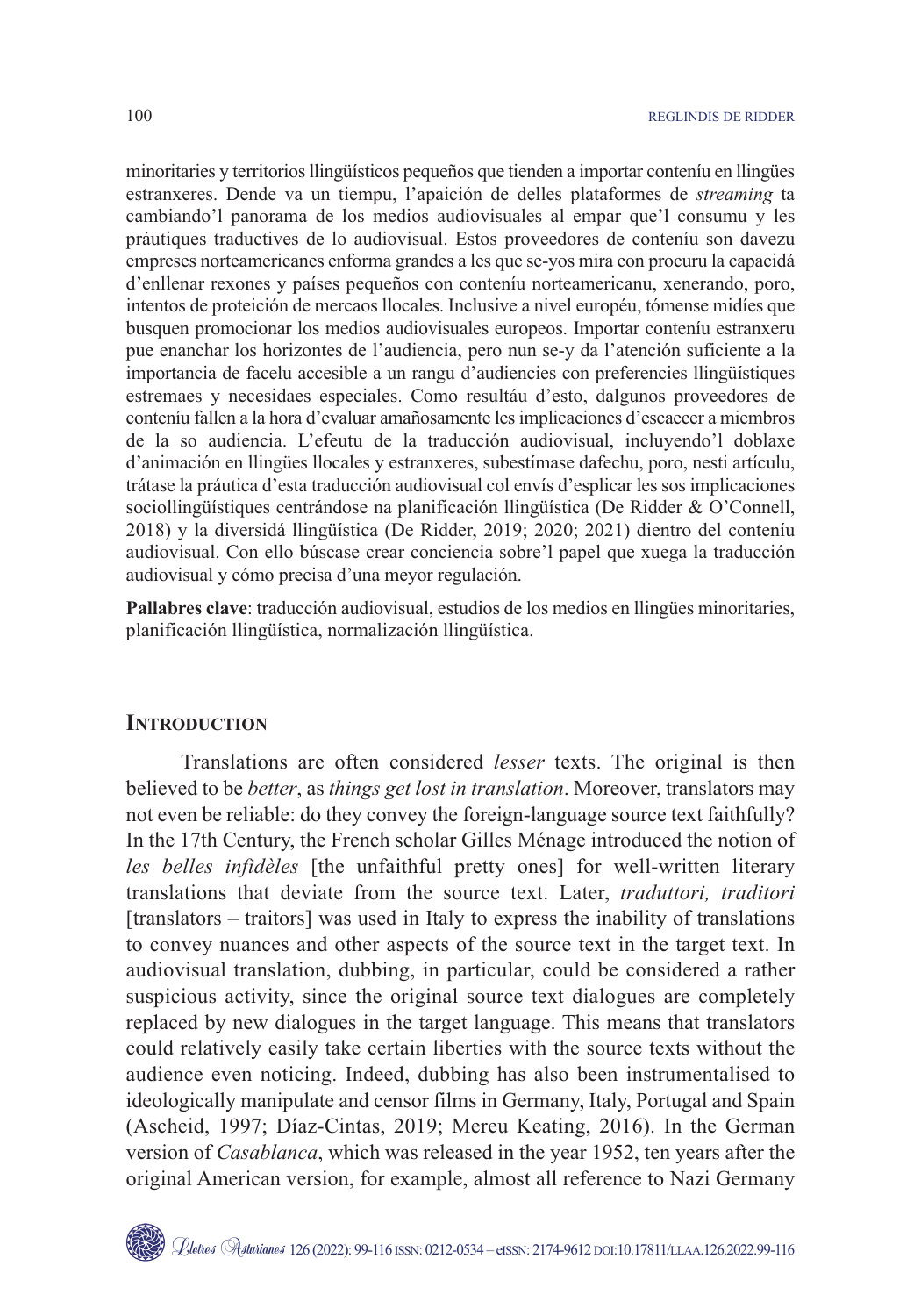minoritaries y territorios llingüísticos pequeños que tienden a importar conteníu en llingües estranxeres. Dende va un tiempu, l'apaición de delles plataformes de *streaming* ta cambiando'l panorama de los medios audiovisuales al empar que'l consumu y les práutiques traductives de lo audiovisual. Estos proveedores de conteníu son davezu empreses norteamericanes enforma grandes a les que se-yos mira con procuru la capacidá d'enllenar rexones y países pequeños con conteníu norteamericanu, xenerando, poro, intentos de proteición de mercaos llocales. Inclusive a nivel européu, tómense midíes que busquen promocionar los medios audiovisuales europeos. Importar conteníu estranxeru pue enanchar los horizontes de l'audiencia, pero nun se-y da l'atención suficiente a la importancia de facelu accesible a un rangu d'audiencies con preferencies llingüístiques estremaes y necesidaes especiales. Como resultáu d'esto, dalgunos proveedores de conteníu fallen a la hora d'evaluar amañosamente les implicaciones d'escaecer a miembros de la so audiencia. L'efeutu de la traducción audiovisual, incluyendo'l doblaxe d'animación en llingües llocales y estranxeres, subestímase dafechu, poro, nesti artículu, trátase la práutica d'esta traducción audiovisual col envís d'esplicar les sos implicaciones sociollingüístiques centrándose na planificación llingüística (De Ridder & O'Connell, 2018) y la diversidá llingüística (De Ridder, 2019; 2020; 2021) dientro del conteníu audiovisual. Con ello búscase crear conciencia sobre'l papel que xuega la traducción audiovisual y cómo precisa d'una meyor regulación.

**Pallabres clave**: traducción audiovisual, estudios de los medios en llingües minoritaries, planificación llingüística, normalización llingüística.

#### **INTRODUCTION**

Translations are often considered *lesser* texts. The original is then believed to be *better*, as *things get lost in translation*. Moreover, translators may not even be reliable: do they convey the foreign-language source text faithfully? In the 17th Century, the French scholar Gilles Ménage introduced the notion of *les belles infidèles* [the unfaithful pretty ones] for well-written literary translations that deviate from the source text. Later, *traduttori, traditori* [translators – traitors] was used in Italy to express the inability of translations to convey nuances and other aspects of the source text in the target text. In audiovisual translation, dubbing, in particular, could be considered a rather suspicious activity, since the original source text dialogues are completely replaced by new dialogues in the target language. This means that translators could relatively easily take certain liberties with the source texts without the audience even noticing. Indeed, dubbing has also been instrumentalised to ideologically manipulate and censor films in Germany, Italy, Portugal and Spain (Ascheid, 1997; Díaz-Cintas, 2019; Mereu Keating, 2016). In the German version of *Casablanca*, which was released in the year 1952, ten years after the original American version, for example, almost all reference to Nazi Germany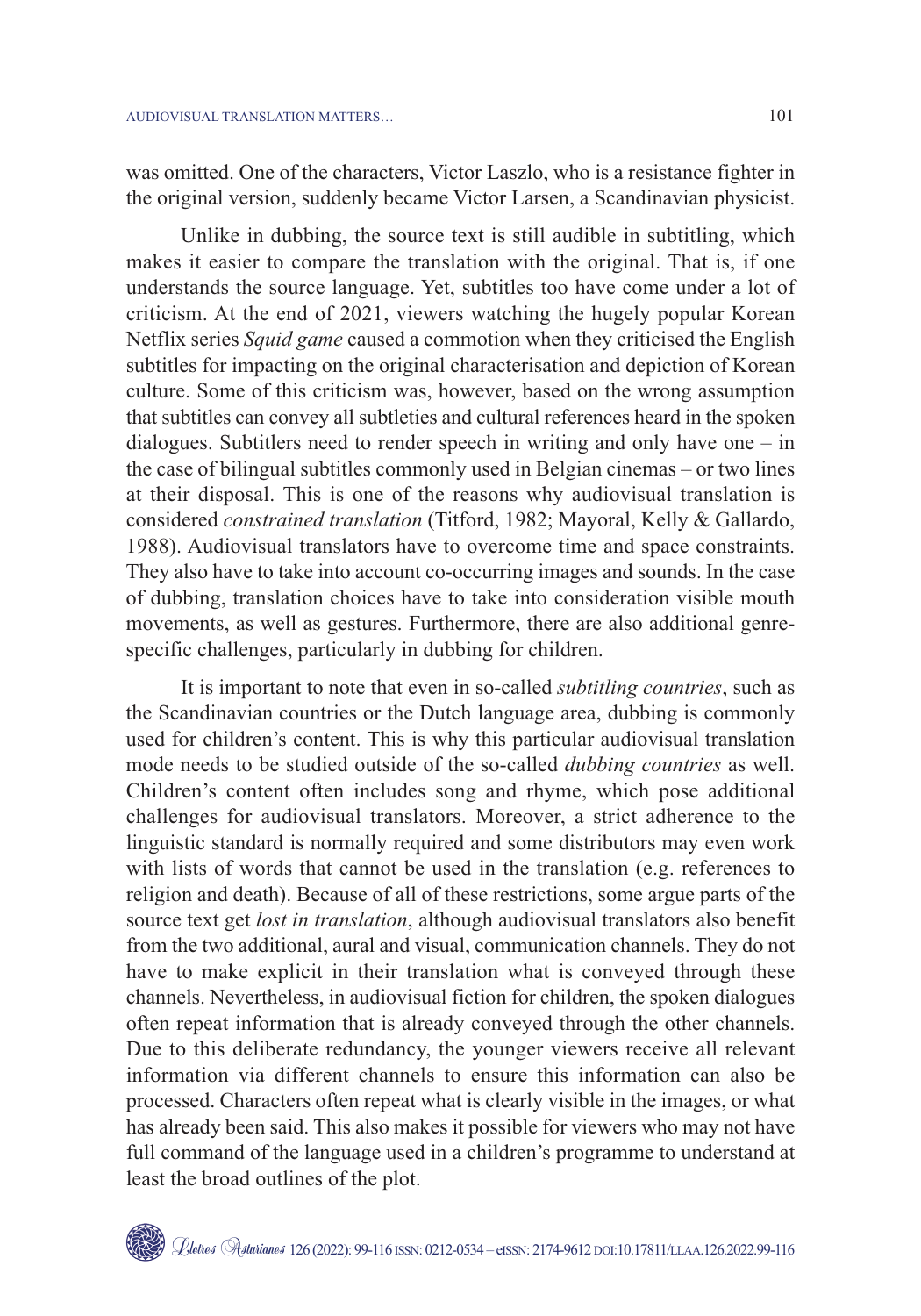was omitted. One of the characters, Victor Laszlo, who is a resistance fighter in the original version, suddenly became Victor Larsen, a Scandinavian physicist.

Unlike in dubbing, the source text is still audible in subtitling, which makes it easier to compare the translation with the original. That is, if one understands the source language. Yet, subtitles too have come under a lot of criticism. At the end of 2021, viewers watching the hugely popular Korean Netflix series *Squid game* caused a commotion when they criticised the English subtitles for impacting on the original characterisation and depiction of Korean culture. Some of this criticism was, however, based on the wrong assumption that subtitles can convey all subtleties and cultural references heard in the spoken dialogues. Subtitlers need to render speech in writing and only have one – in the case of bilingual subtitles commonly used in Belgian cinemas – or two lines at their disposal. This is one of the reasons why audiovisual translation is considered *constrained translation* (Titford, 1982; Mayoral, Kelly & Gallardo, 1988). Audiovisual translators have to overcome time and space constraints. They also have to take into account co-occurring images and sounds. In the case of dubbing, translation choices have to take into consideration visible mouth movements, as well as gestures. Furthermore, there are also additional genrespecific challenges, particularly in dubbing for children.

It is important to note that even in so-called *subtitling countries*, such as the Scandinavian countries or the Dutch language area, dubbing is commonly used for children's content. This is why this particular audiovisual translation mode needs to be studied outside of the so-called *dubbing countries* as well. Children's content often includes song and rhyme, which pose additional challenges for audiovisual translators. Moreover, a strict adherence to the linguistic standard is normally required and some distributors may even work with lists of words that cannot be used in the translation (e.g. references to religion and death). Because of all of these restrictions, some argue parts of the source text get *lost in translation*, although audiovisual translators also benefit from the two additional, aural and visual, communication channels. They do not have to make explicit in their translation what is conveyed through these channels. Nevertheless, in audiovisual fiction for children, the spoken dialogues often repeat information that is already conveyed through the other channels. Due to this deliberate redundancy, the younger viewers receive all relevant information via different channels to ensure this information can also be processed. Characters often repeat what is clearly visible in the images, or what has already been said. This also makes it possible for viewers who may not have full command of the language used in a children's programme to understand at least the broad outlines of the plot.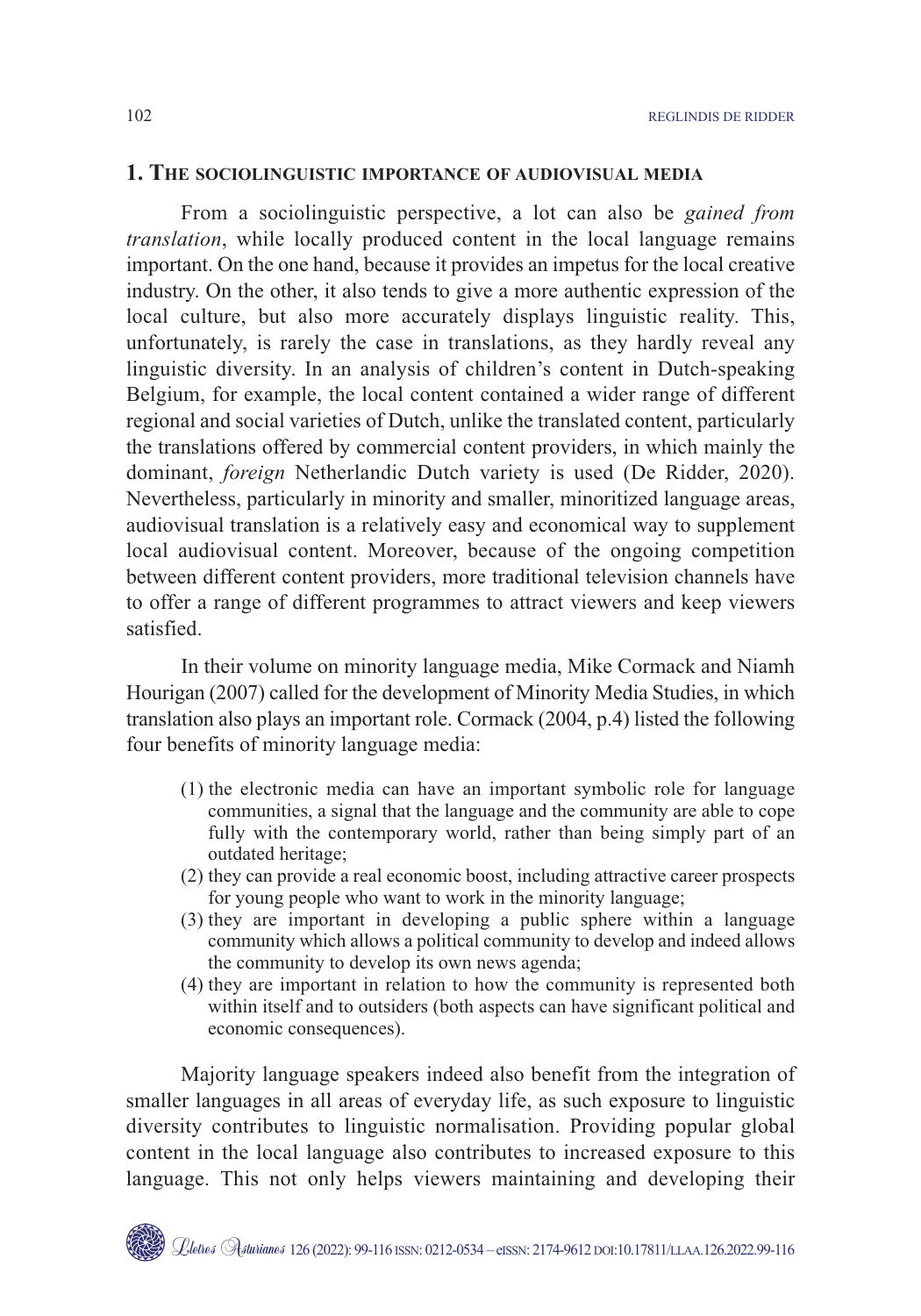#### **1. THE SOCIOLINGUISTIC IMPORTANCE OF AUDIOVISUAL MEDIA**

From a sociolinguistic perspective, a lot can also be *gained from translation*, while locally produced content in the local language remains important. On the one hand, because it provides an impetus for the local creative industry. On the other, it also tends to give a more authentic expression of the local culture, but also more accurately displays linguistic reality. This, unfortunately, is rarely the case in translations, as they hardly reveal any linguistic diversity. In an analysis of children's content in Dutch-speaking Belgium, for example, the local content contained a wider range of different regional and social varieties of Dutch, unlike the translated content, particularly the translations offered by commercial content providers, in which mainly the dominant, *foreign* Netherlandic Dutch variety is used (De Ridder, 2020). Nevertheless, particularly in minority and smaller, minoritized language areas, audiovisual translation is a relatively easy and economical way to supplement local audiovisual content. Moreover, because of the ongoing competition between different content providers, more traditional television channels have to offer a range of different programmes to attract viewers and keep viewers satisfied.

In their volume on minority language media, Mike Cormack and Niamh Hourigan (2007) called for the development of Minority Media Studies, in which translation also plays an important role. Cormack (2004, p.4) listed the following four benefits of minority language media:

- (1) the electronic media can have an important symbolic role for language communities, a signal that the language and the community are able to cope fully with the contemporary world, rather than being simply part of an outdated heritage;
- (2) they can provide a real economic boost, including attractive career prospects for young people who want to work in the minority language;
- (3) they are important in developing a public sphere within a language community which allows a political community to develop and indeed allows the community to develop its own news agenda;
- (4) they are important in relation to how the community is represented both within itself and to outsiders (both aspects can have significant political and economic consequences).

Majority language speakers indeed also benefit from the integration of smaller languages in all areas of everyday life, as such exposure to linguistic diversity contributes to linguistic normalisation. Providing popular global content in the local language also contributes to increased exposure to this language. This not only helps viewers maintaining and developing their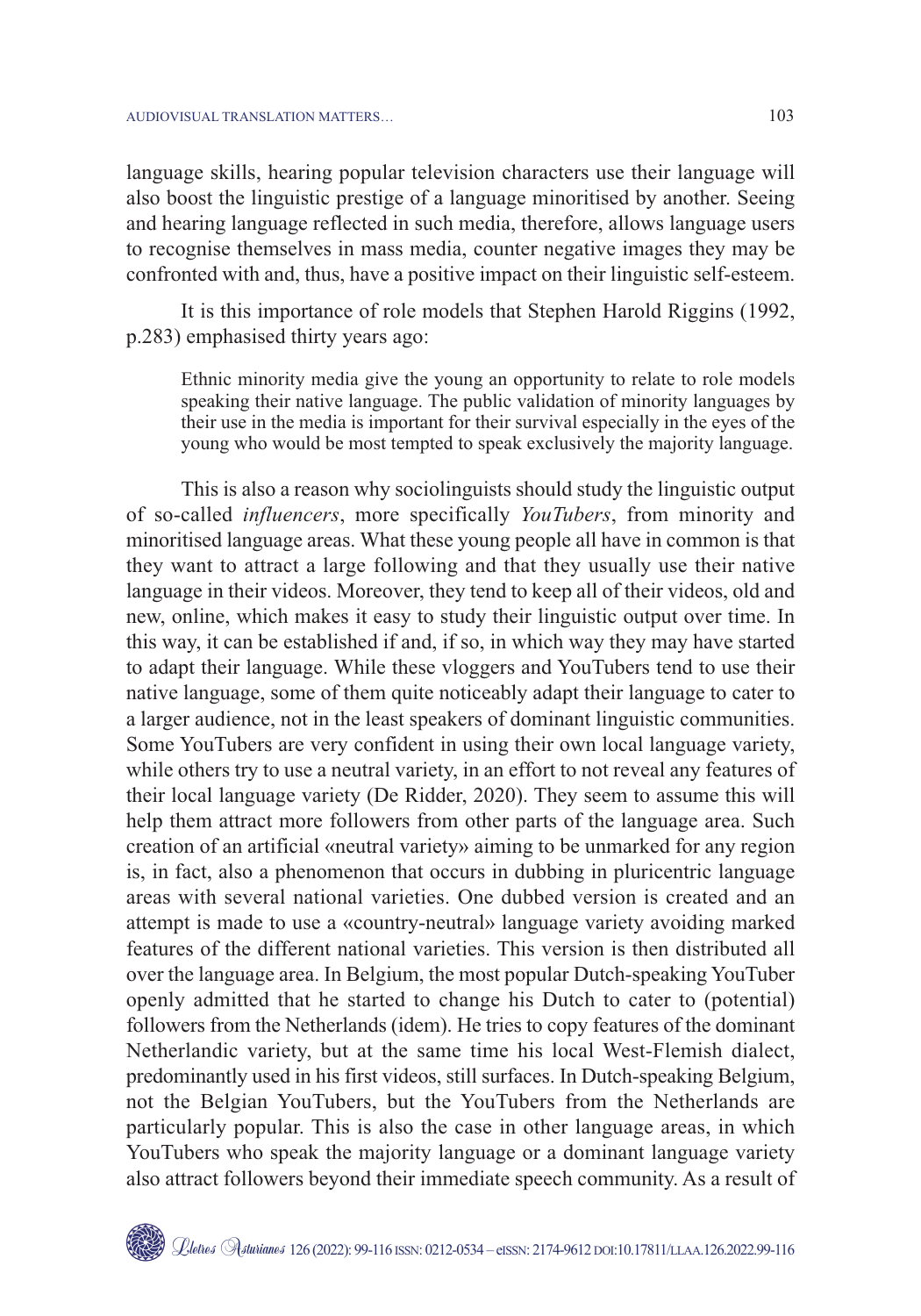language skills, hearing popular television characters use their language will also boost the linguistic prestige of a language minoritised by another. Seeing and hearing language reflected in such media, therefore, allows language users to recognise themselves in mass media, counter negative images they may be confronted with and, thus, have a positive impact on their linguistic self-esteem.

It is this importance of role models that Stephen Harold Riggins (1992, p.283) emphasised thirty years ago:

Ethnic minority media give the young an opportunity to relate to role models speaking their native language. The public validation of minority languages by their use in the media is important for their survival especially in the eyes of the young who would be most tempted to speak exclusively the majority language.

This is also a reason why sociolinguists should study the linguistic output of so-called *influencers*, more specifically *YouTubers*, from minority and minoritised language areas. What these young people all have in common is that they want to attract a large following and that they usually use their native language in their videos. Moreover, they tend to keep all of their videos, old and new, online, which makes it easy to study their linguistic output over time. In this way, it can be established if and, if so, in which way they may have started to adapt their language. While these vloggers and YouTubers tend to use their native language, some of them quite noticeably adapt their language to cater to a larger audience, not in the least speakers of dominant linguistic communities. Some YouTubers are very confident in using their own local language variety, while others try to use a neutral variety, in an effort to not reveal any features of their local language variety (De Ridder, 2020). They seem to assume this will help them attract more followers from other parts of the language area. Such creation of an artificial «neutral variety» aiming to be unmarked for any region is, in fact, also a phenomenon that occurs in dubbing in pluricentric language areas with several national varieties. One dubbed version is created and an attempt is made to use a «country-neutral» language variety avoiding marked features of the different national varieties. This version is then distributed all over the language area. In Belgium, the most popular Dutch-speaking YouTuber openly admitted that he started to change his Dutch to cater to (potential) followers from the Netherlands (idem). He tries to copy features of the dominant Netherlandic variety, but at the same time his local West-Flemish dialect, predominantly used in his first videos, still surfaces. In Dutch-speaking Belgium, not the Belgian YouTubers, but the YouTubers from the Netherlands are particularly popular. This is also the case in other language areas, in which YouTubers who speak the majority language or a dominant language variety also attract followers beyond their immediate speech community. As a result of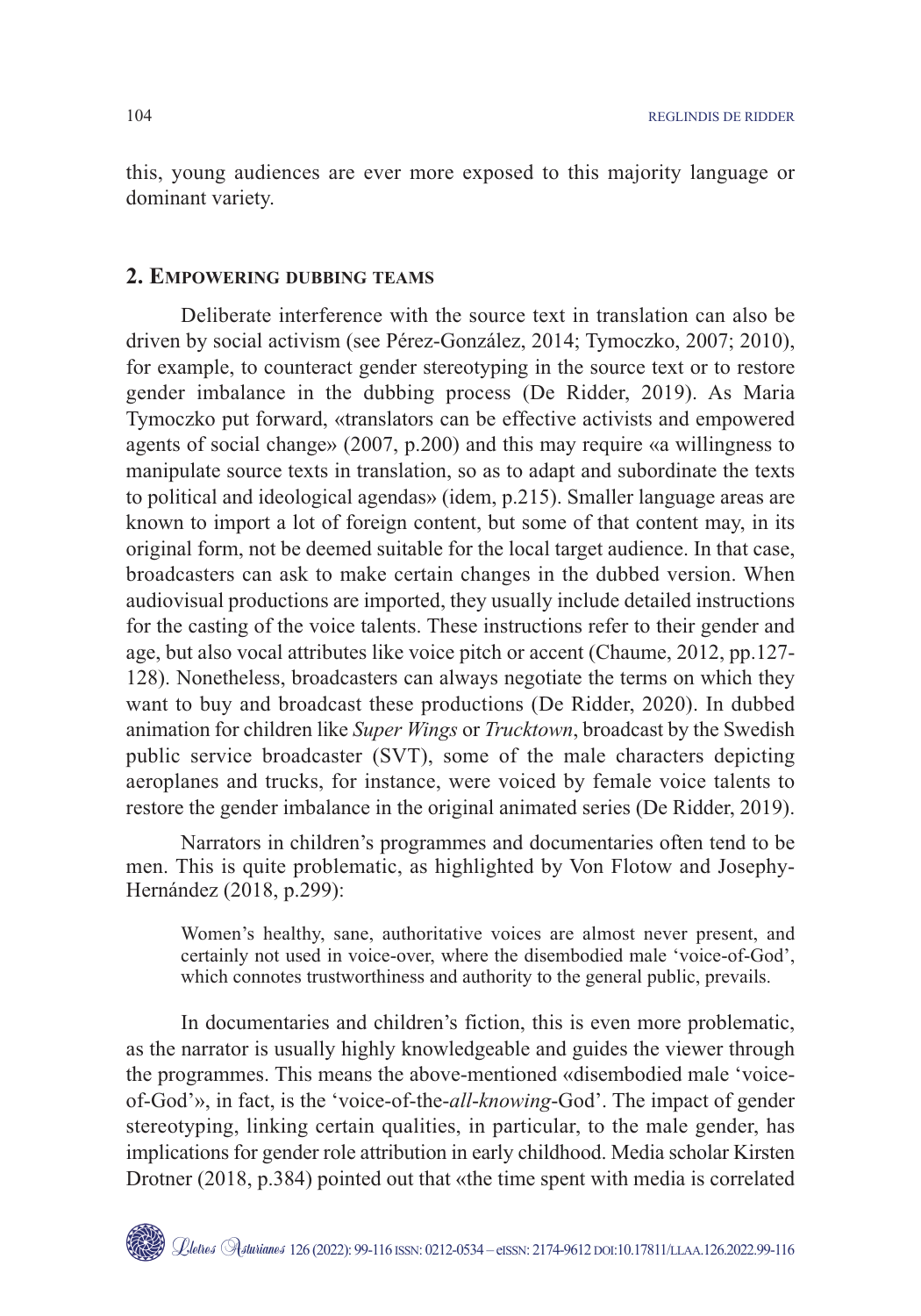this, young audiences are ever more exposed to this majority language or dominant variety.

## **2. EMPOWERING DUBBING TEAMS**

Deliberate interference with the source text in translation can also be driven by social activism (see Pérez-González, 2014; Tymoczko, 2007; 2010), for example, to counteract gender stereotyping in the source text or to restore gender imbalance in the dubbing process (De Ridder, 2019). As Maria Tymoczko put forward, «translators can be effective activists and empowered agents of social change» (2007, p.200) and this may require «a willingness to manipulate source texts in translation, so as to adapt and subordinate the texts to political and ideological agendas» (idem, p.215). Smaller language areas are known to import a lot of foreign content, but some of that content may, in its original form, not be deemed suitable for the local target audience. In that case, broadcasters can ask to make certain changes in the dubbed version. When audiovisual productions are imported, they usually include detailed instructions for the casting of the voice talents. These instructions refer to their gender and age, but also vocal attributes like voice pitch or accent (Chaume, 2012, pp.127- 128). Nonetheless, broadcasters can always negotiate the terms on which they want to buy and broadcast these productions (De Ridder, 2020). In dubbed animation for children like *Super Wings* or *Trucktown*, broadcast by the Swedish public service broadcaster (SVT), some of the male characters depicting aeroplanes and trucks, for instance, were voiced by female voice talents to restore the gender imbalance in the original animated series (De Ridder, 2019).

Narrators in children's programmes and documentaries often tend to be men. This is quite problematic, as highlighted by Von Flotow and Josephy-Hernández (2018, p.299):

Women's healthy, sane, authoritative voices are almost never present, and certainly not used in voice-over, where the disembodied male 'voice-of-God', which connotes trustworthiness and authority to the general public, prevails.

In documentaries and children's fiction, this is even more problematic, as the narrator is usually highly knowledgeable and guides the viewer through the programmes. This means the above-mentioned «disembodied male 'voiceof-God'», in fact, is the 'voice-of-the-*all*-*knowing*-God'. The impact of gender stereotyping, linking certain qualities, in particular, to the male gender, has implications for gender role attribution in early childhood. Media scholar Kirsten Drotner (2018, p.384) pointed out that «the time spent with media is correlated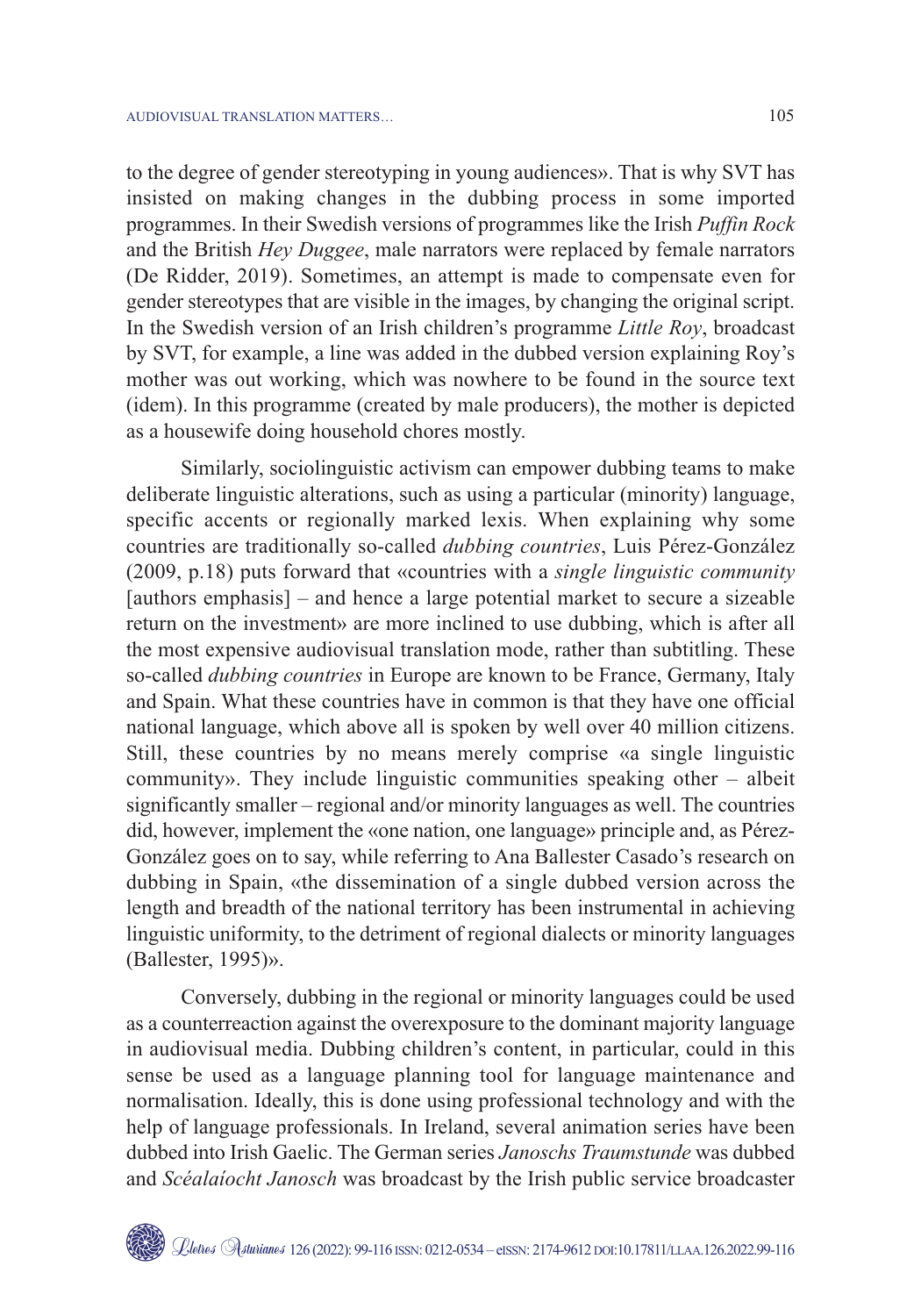to the degree of gender stereotyping in young audiences». That is why SVT has insisted on making changes in the dubbing process in some imported programmes. In their Swedish versions of programmes like the Irish *Puffin Rock* and the British *Hey Duggee*, male narrators were replaced by female narrators (De Ridder, 2019). Sometimes, an attempt is made to compensate even for gender stereotypes that are visible in the images, by changing the original script. In the Swedish version of an Irish children's programme *Little Roy*, broadcast by SVT, for example, a line was added in the dubbed version explaining Roy's mother was out working, which was nowhere to be found in the source text (idem). In this programme (created by male producers), the mother is depicted as a housewife doing household chores mostly.

Similarly, sociolinguistic activism can empower dubbing teams to make deliberate linguistic alterations, such as using a particular (minority) language, specific accents or regionally marked lexis. When explaining why some countries are traditionally so-called *dubbing countries*, Luis Pérez-González (2009, p.18) puts forward that «countries with a *single linguistic community* [authors emphasis] – and hence a large potential market to secure a sizeable return on the investment» are more inclined to use dubbing, which is after all the most expensive audiovisual translation mode, rather than subtitling. These so-called *dubbing countries* in Europe are known to be France, Germany, Italy and Spain. What these countries have in common is that they have one official national language, which above all is spoken by well over 40 million citizens. Still, these countries by no means merely comprise «a single linguistic community». They include linguistic communities speaking other – albeit significantly smaller – regional and/or minority languages as well. The countries did, however, implement the «one nation, one language» principle and, as Pérez-González goes on to say, while referring to Ana Ballester Casado's research on dubbing in Spain, «the dissemination of a single dubbed version across the length and breadth of the national territory has been instrumental in achieving linguistic uniformity, to the detriment of regional dialects or minority languages (Ballester, 1995)».

Conversely, dubbing in the regional or minority languages could be used as a counterreaction against the overexposure to the dominant majority language in audiovisual media. Dubbing children's content, in particular, could in this sense be used as a language planning tool for language maintenance and normalisation. Ideally, this is done using professional technology and with the help of language professionals. In Ireland, several animation series have been dubbed into Irish Gaelic. The German series *Janoschs Traumstunde* was dubbed and *Scéalaíocht Janosch* was broadcast by the Irish public service broadcaster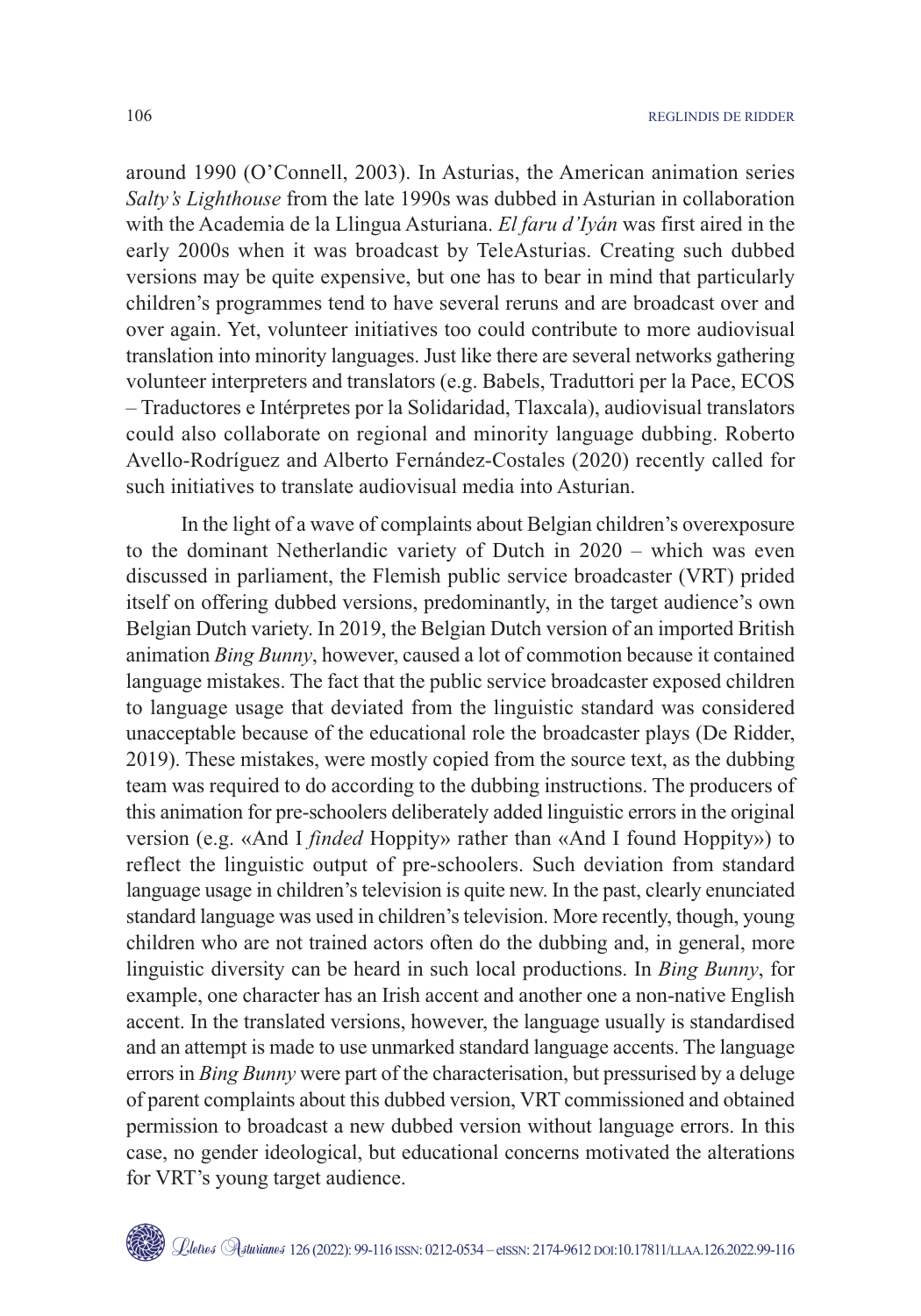around 1990 (O'Connell, 2003). In Asturias, the American animation series *Salty's Lighthouse* from the late 1990s was dubbed in Asturian in collaboration with the Academia de la Llingua Asturiana. *El faru d'Iyán* was first aired in the early 2000s when it was broadcast by TeleAsturias. Creating such dubbed versions may be quite expensive, but one has to bear in mind that particularly children's programmes tend to have several reruns and are broadcast over and over again. Yet, volunteer initiatives too could contribute to more audiovisual translation into minority languages. Just like there are several networks gathering volunteer interpreters and translators (e.g. Babels, Traduttori per la Pace, ECOS – Traductores e Intérpretes por la Solidaridad, Tlaxcala), audiovisual translators could also collaborate on regional and minority language dubbing. Roberto Avello-Rodríguez and Alberto Fernández-Costales (2020) recently called for such initiatives to translate audiovisual media into Asturian.

In the light of a wave of complaints about Belgian children's overexposure to the dominant Netherlandic variety of Dutch in 2020 – which was even discussed in parliament, the Flemish public service broadcaster (VRT) prided itself on offering dubbed versions, predominantly, in the target audience's own Belgian Dutch variety. In 2019, the Belgian Dutch version of an imported British animation *Bing Bunny*, however, caused a lot of commotion because it contained language mistakes. The fact that the public service broadcaster exposed children to language usage that deviated from the linguistic standard was considered unacceptable because of the educational role the broadcaster plays (De Ridder, 2019). These mistakes, were mostly copied from the source text, as the dubbing team was required to do according to the dubbing instructions. The producers of this animation for pre-schoolers deliberately added linguistic errors in the original version (e.g. «And I *finded* Hoppity» rather than «And I found Hoppity») to reflect the linguistic output of pre-schoolers. Such deviation from standard language usage in children's television is quite new. In the past, clearly enunciated standard language was used in children's television. More recently, though, young children who are not trained actors often do the dubbing and, in general, more linguistic diversity can be heard in such local productions. In *Bing Bunny*, for example, one character has an Irish accent and another one a non-native English accent. In the translated versions, however, the language usually is standardised and an attempt is made to use unmarked standard language accents. The language errors in *Bing Bunny* were part of the characterisation, but pressurised by a deluge of parent complaints about this dubbed version, VRT commissioned and obtained permission to broadcast a new dubbed version without language errors. In this case, no gender ideological, but educational concerns motivated the alterations for VRT's young target audience.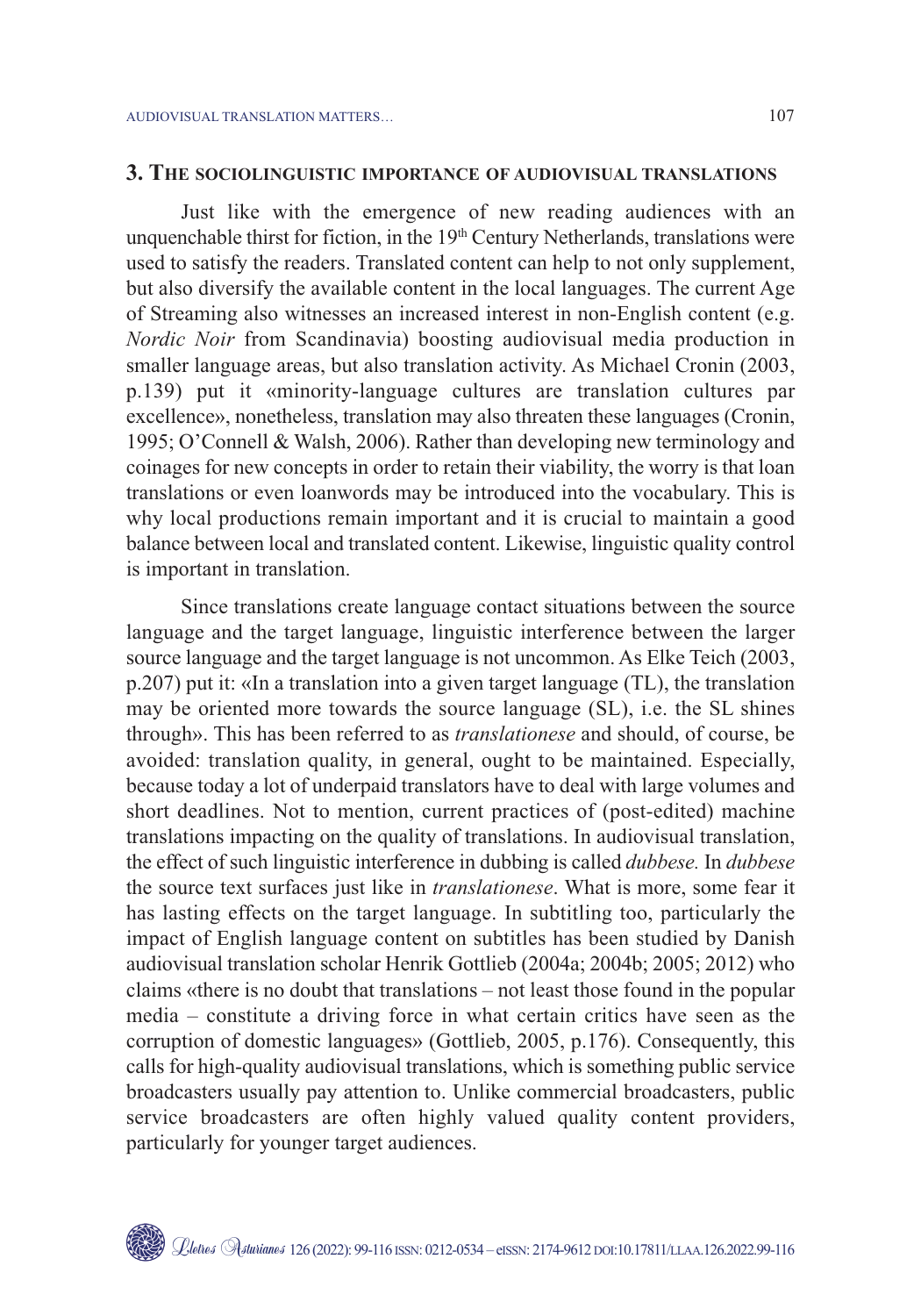#### **3. THE SOCIOLINGUISTIC IMPORTANCE OF AUDIOVISUAL TRANSLATIONS**

Just like with the emergence of new reading audiences with an unquenchable thirst for fiction, in the  $19<sup>th</sup>$  Century Netherlands, translations were used to satisfy the readers. Translated content can help to not only supplement, but also diversify the available content in the local languages. The current Age of Streaming also witnesses an increased interest in non-English content (e.g. *Nordic Noir* from Scandinavia) boosting audiovisual media production in smaller language areas, but also translation activity. As Michael Cronin (2003, p.139) put it «minority-language cultures are translation cultures par excellence», nonetheless, translation may also threaten these languages (Cronin, 1995; O'Connell & Walsh, 2006). Rather than developing new terminology and coinages for new concepts in order to retain their viability, the worry is that loan translations or even loanwords may be introduced into the vocabulary. This is why local productions remain important and it is crucial to maintain a good balance between local and translated content. Likewise, linguistic quality control is important in translation.

Since translations create language contact situations between the source language and the target language, linguistic interference between the larger source language and the target language is not uncommon. As Elke Teich (2003, p.207) put it: «In a translation into a given target language (TL), the translation may be oriented more towards the source language (SL), i.e. the SL shines through». This has been referred to as *translationese* and should, of course, be avoided: translation quality, in general, ought to be maintained. Especially, because today a lot of underpaid translators have to deal with large volumes and short deadlines. Not to mention, current practices of (post-edited) machine translations impacting on the quality of translations. In audiovisual translation, the effect of such linguistic interference in dubbing is called *dubbese.* In *dubbese* the source text surfaces just like in *translationese*. What is more, some fear it has lasting effects on the target language. In subtitling too, particularly the impact of English language content on subtitles has been studied by Danish audiovisual translation scholar Henrik Gottlieb (2004a; 2004b; 2005; 2012) who claims «there is no doubt that translations – not least those found in the popular media – constitute a driving force in what certain critics have seen as the corruption of domestic languages» (Gottlieb, 2005, p.176). Consequently, this calls for high-quality audiovisual translations, which is something public service broadcasters usually pay attention to. Unlike commercial broadcasters, public service broadcasters are often highly valued quality content providers, particularly for younger target audiences.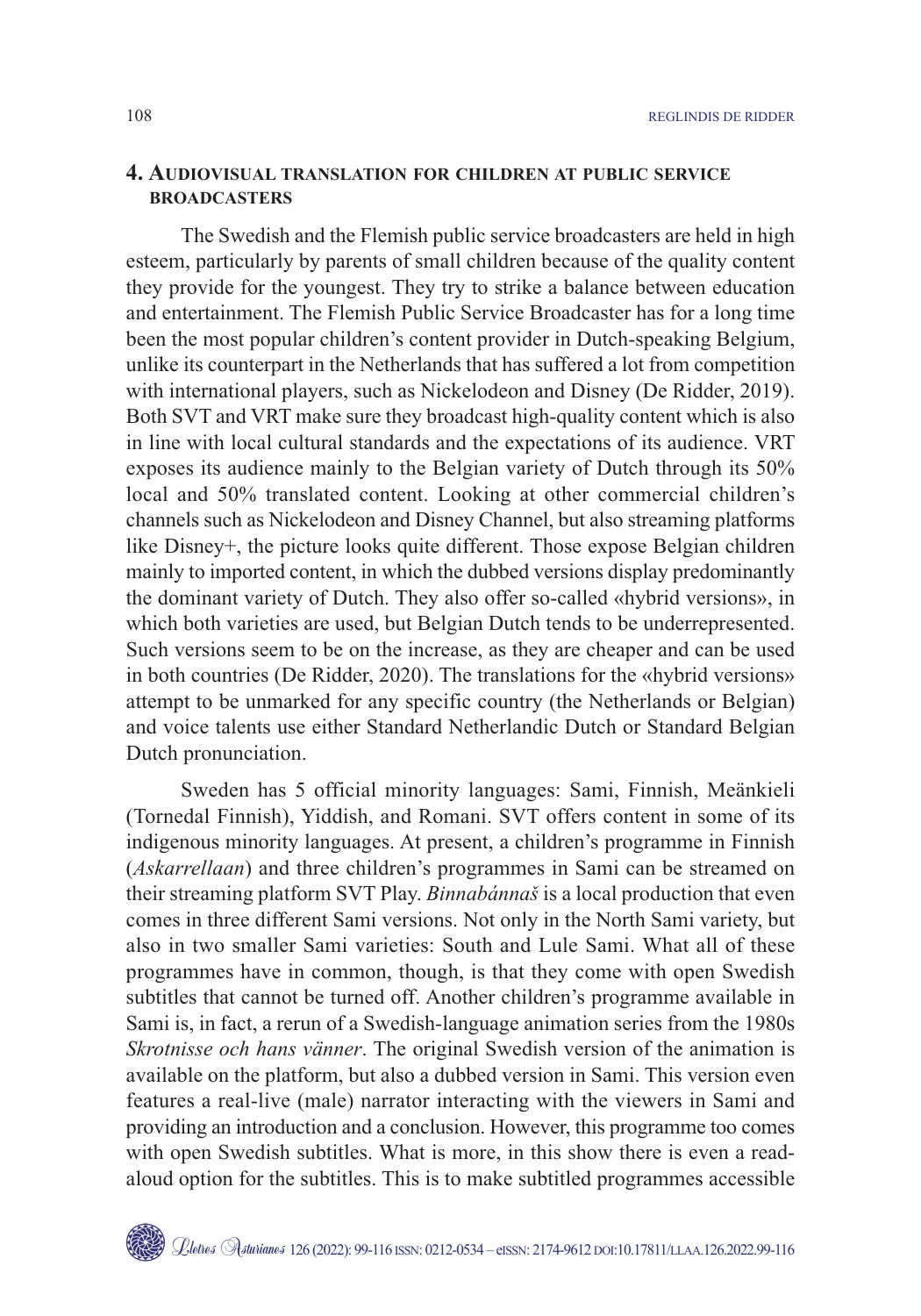## **4. AUDIOVISUAL TRANSLATION FOR CHILDREN AT PUBLIC SERVICE BROADCASTERS**

The Swedish and the Flemish public service broadcasters are held in high esteem, particularly by parents of small children because of the quality content they provide for the youngest. They try to strike a balance between education and entertainment. The Flemish Public Service Broadcaster has for a long time been the most popular children's content provider in Dutch-speaking Belgium, unlike its counterpart in the Netherlands that has suffered a lot from competition with international players, such as Nickelodeon and Disney (De Ridder, 2019). Both SVT and VRT make sure they broadcast high-quality content which is also in line with local cultural standards and the expectations of its audience. VRT exposes its audience mainly to the Belgian variety of Dutch through its 50% local and 50% translated content. Looking at other commercial children's channels such as Nickelodeon and Disney Channel, but also streaming platforms like Disney+, the picture looks quite different. Those expose Belgian children mainly to imported content, in which the dubbed versions display predominantly the dominant variety of Dutch. They also offer so-called «hybrid versions», in which both varieties are used, but Belgian Dutch tends to be underrepresented. Such versions seem to be on the increase, as they are cheaper and can be used in both countries (De Ridder, 2020). The translations for the «hybrid versions» attempt to be unmarked for any specific country (the Netherlands or Belgian) and voice talents use either Standard Netherlandic Dutch or Standard Belgian Dutch pronunciation.

Sweden has 5 official minority languages: Sami, Finnish, Meänkieli (Tornedal Finnish), Yiddish, and Romani. SVT offers content in some of its indigenous minority languages. At present, a children's programme in Finnish (*Askarrellaan*) and three children's programmes in Sami can be streamed on their streaming platform SVT Play. *Binnabánnaš* is a local production that even comes in three different Sami versions. Not only in the North Sami variety, but also in two smaller Sami varieties: South and Lule Sami. What all of these programmes have in common, though, is that they come with open Swedish subtitles that cannot be turned off. Another children's programme available in Sami is, in fact, a rerun of a Swedish-language animation series from the 1980s *Skrotnisse och hans vänner*. The original Swedish version of the animation is available on the platform, but also a dubbed version in Sami. This version even features a real-live (male) narrator interacting with the viewers in Sami and providing an introduction and a conclusion. However, this programme too comes with open Swedish subtitles. What is more, in this show there is even a readaloud option for the subtitles. This is to make subtitled programmes accessible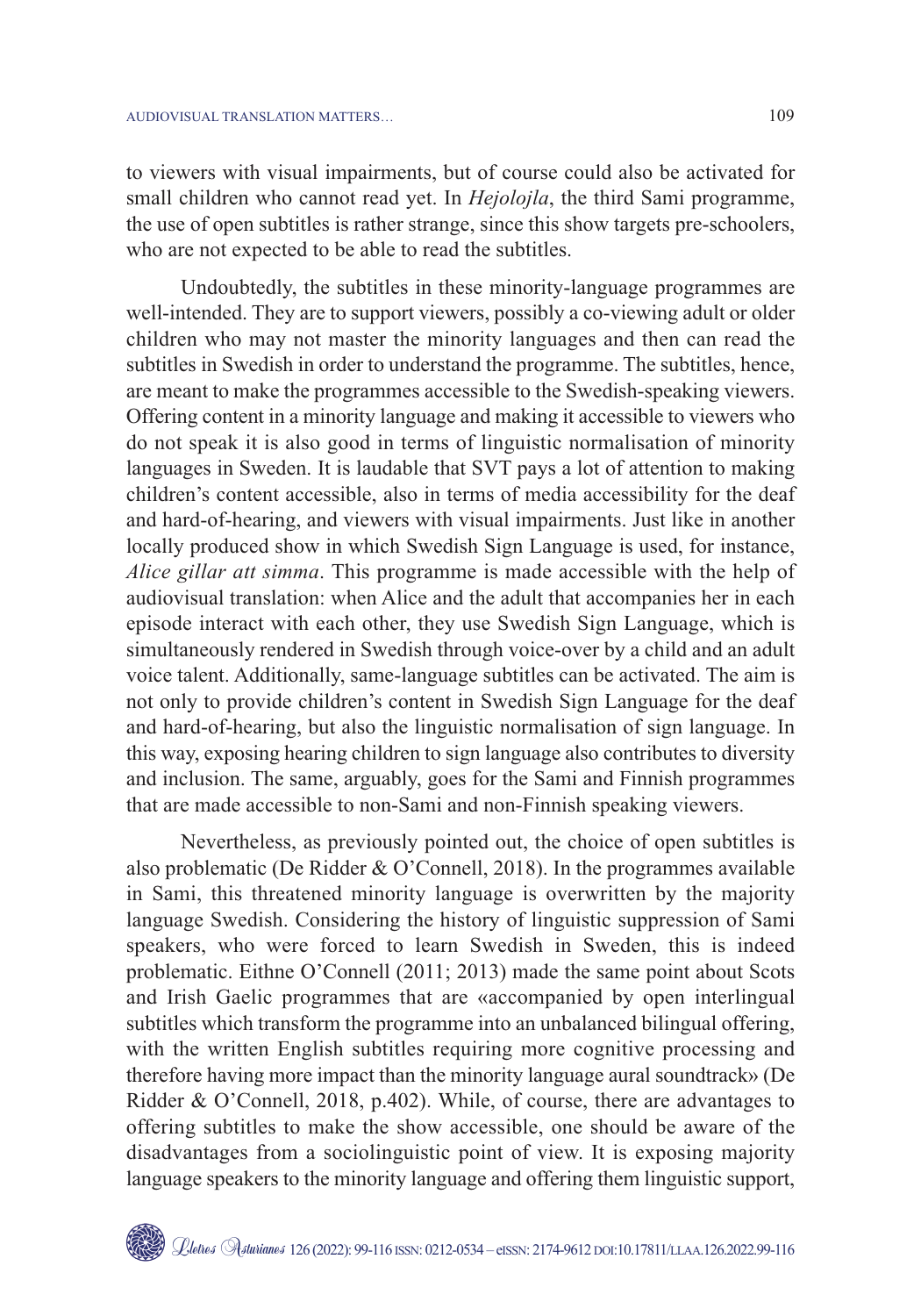to viewers with visual impairments, but of course could also be activated for small children who cannot read yet. In *Hejolojla*, the third Sami programme, the use of open subtitles is rather strange, since this show targets pre-schoolers, who are not expected to be able to read the subtitles.

Undoubtedly, the subtitles in these minority-language programmes are well-intended. They are to support viewers, possibly a co-viewing adult or older children who may not master the minority languages and then can read the subtitles in Swedish in order to understand the programme. The subtitles, hence, are meant to make the programmes accessible to the Swedish-speaking viewers. Offering content in a minority language and making it accessible to viewers who do not speak it is also good in terms of linguistic normalisation of minority languages in Sweden. It is laudable that SVT pays a lot of attention to making children's content accessible, also in terms of media accessibility for the deaf and hard-of-hearing, and viewers with visual impairments. Just like in another locally produced show in which Swedish Sign Language is used, for instance, *Alice gillar att simma*. This programme is made accessible with the help of audiovisual translation: when Alice and the adult that accompanies her in each episode interact with each other, they use Swedish Sign Language, which is simultaneously rendered in Swedish through voice-over by a child and an adult voice talent. Additionally, same-language subtitles can be activated. The aim is not only to provide children's content in Swedish Sign Language for the deaf and hard-of-hearing, but also the linguistic normalisation of sign language. In this way, exposing hearing children to sign language also contributes to diversity and inclusion. The same, arguably, goes for the Sami and Finnish programmes that are made accessible to non-Sami and non-Finnish speaking viewers.

Nevertheless, as previously pointed out, the choice of open subtitles is also problematic (De Ridder & O'Connell, 2018). In the programmes available in Sami, this threatened minority language is overwritten by the majority language Swedish. Considering the history of linguistic suppression of Sami speakers, who were forced to learn Swedish in Sweden, this is indeed problematic. Eithne O'Connell (2011; 2013) made the same point about Scots and Irish Gaelic programmes that are «accompanied by open interlingual subtitles which transform the programme into an unbalanced bilingual offering, with the written English subtitles requiring more cognitive processing and therefore having more impact than the minority language aural soundtrack» (De Ridder & O'Connell, 2018, p.402). While, of course, there are advantages to offering subtitles to make the show accessible, one should be aware of the disadvantages from a sociolinguistic point of view. It is exposing majority language speakers to the minority language and offering them linguistic support,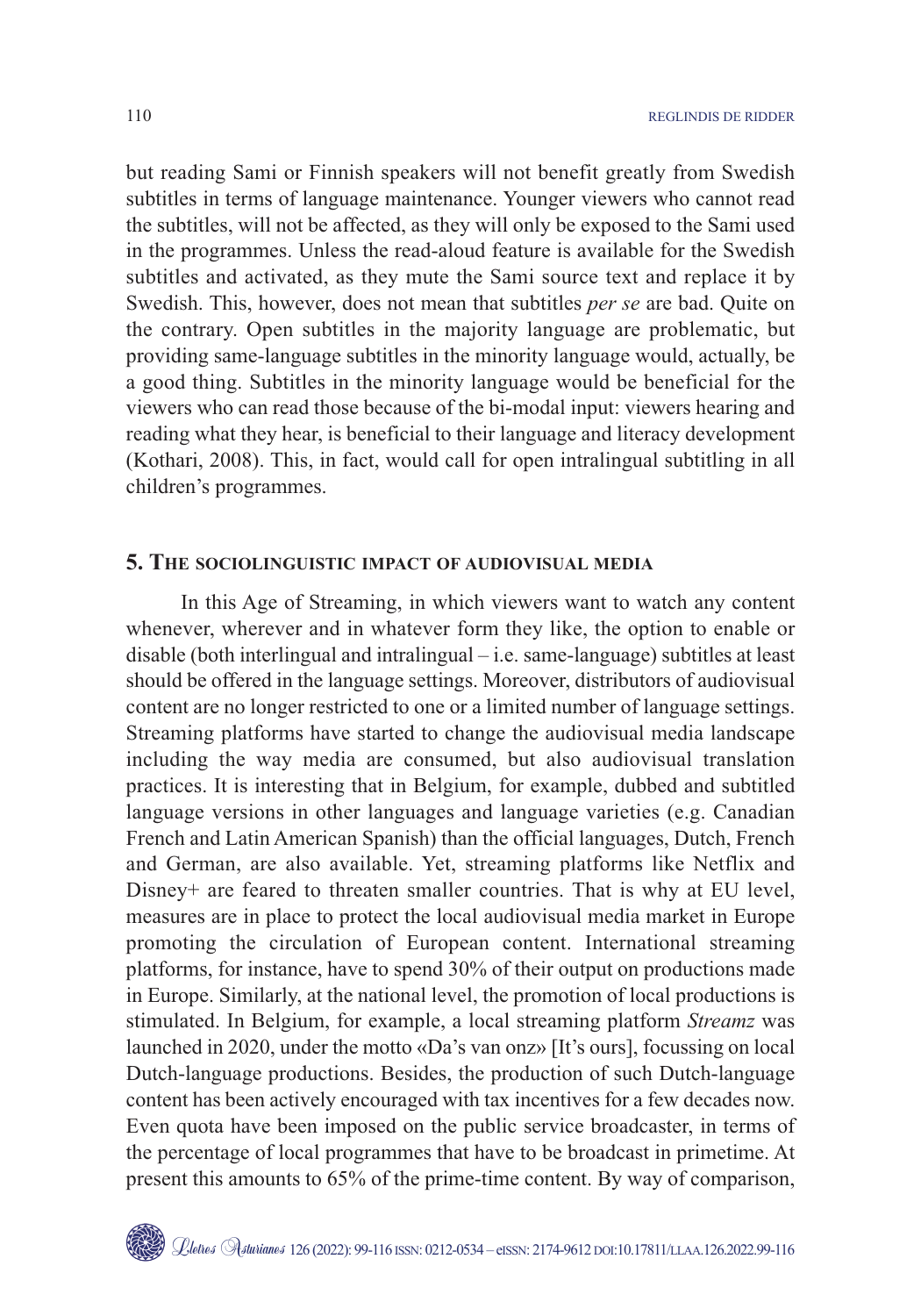but reading Sami or Finnish speakers will not benefit greatly from Swedish subtitles in terms of language maintenance. Younger viewers who cannot read the subtitles, will not be affected, as they will only be exposed to the Sami used in the programmes. Unless the read-aloud feature is available for the Swedish subtitles and activated, as they mute the Sami source text and replace it by Swedish. This, however, does not mean that subtitles *per se* are bad. Quite on the contrary. Open subtitles in the majority language are problematic, but providing same-language subtitles in the minority language would, actually, be a good thing. Subtitles in the minority language would be beneficial for the viewers who can read those because of the bi-modal input: viewers hearing and reading what they hear, is beneficial to their language and literacy development (Kothari, 2008). This, in fact, would call for open intralingual subtitling in all children's programmes.

## **5. THE SOCIOLINGUISTIC IMPACT OF AUDIOVISUAL MEDIA**

In this Age of Streaming, in which viewers want to watch any content whenever, wherever and in whatever form they like, the option to enable or disable (both interlingual and intralingual – i.e. same-language) subtitles at least should be offered in the language settings. Moreover, distributors of audiovisual content are no longer restricted to one or a limited number of language settings. Streaming platforms have started to change the audiovisual media landscape including the way media are consumed, but also audiovisual translation practices. It is interesting that in Belgium, for example, dubbed and subtitled language versions in other languages and language varieties (e.g. Canadian French and Latin American Spanish) than the official languages, Dutch, French and German, are also available. Yet, streaming platforms like Netflix and Disney+ are feared to threaten smaller countries. That is why at EU level, measures are in place to protect the local audiovisual media market in Europe promoting the circulation of European content. International streaming platforms, for instance, have to spend 30% of their output on productions made in Europe. Similarly, at the national level, the promotion of local productions is stimulated. In Belgium, for example, a local streaming platform *Streamz* was launched in 2020, under the motto «Da's van onz» [It's ours], focussing on local Dutch-language productions. Besides, the production of such Dutch-language content has been actively encouraged with tax incentives for a few decades now. Even quota have been imposed on the public service broadcaster, in terms of the percentage of local programmes that have to be broadcast in primetime. At present this amounts to 65% of the prime-time content. By way of comparison,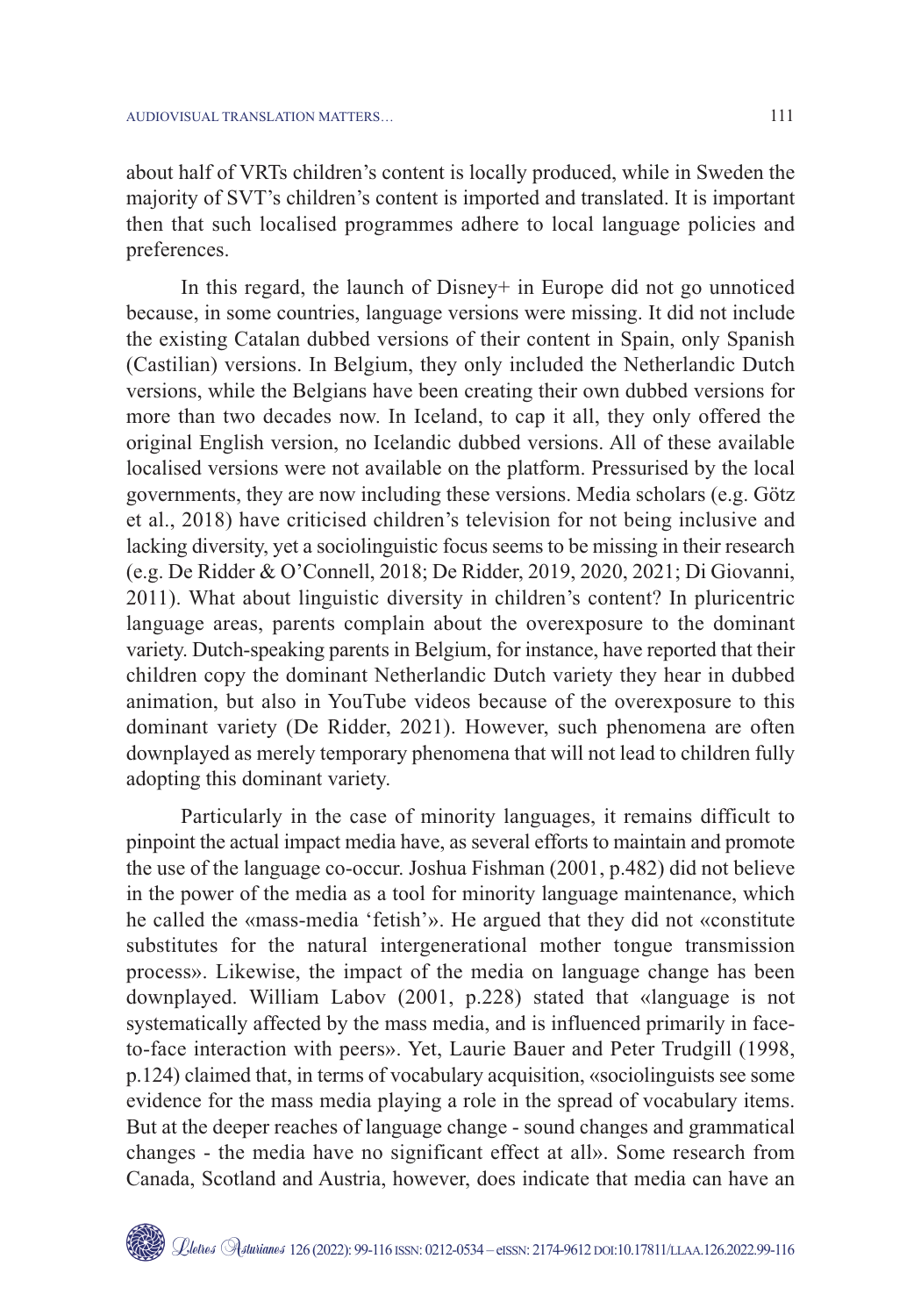about half of VRTs children's content is locally produced, while in Sweden the majority of SVT's children's content is imported and translated. It is important then that such localised programmes adhere to local language policies and preferences.

In this regard, the launch of Disney+ in Europe did not go unnoticed because, in some countries, language versions were missing. It did not include the existing Catalan dubbed versions of their content in Spain, only Spanish (Castilian) versions. In Belgium, they only included the Netherlandic Dutch versions, while the Belgians have been creating their own dubbed versions for more than two decades now. In Iceland, to cap it all, they only offered the original English version, no Icelandic dubbed versions. All of these available localised versions were not available on the platform. Pressurised by the local governments, they are now including these versions. Media scholars (e.g. Götz et al., 2018) have criticised children's television for not being inclusive and lacking diversity, yet a sociolinguistic focus seems to be missing in their research (e.g. De Ridder & O'Connell, 2018; De Ridder, 2019, 2020, 2021; Di Giovanni, 2011). What about linguistic diversity in children's content? In pluricentric language areas, parents complain about the overexposure to the dominant variety. Dutch-speaking parents in Belgium, for instance, have reported that their children copy the dominant Netherlandic Dutch variety they hear in dubbed animation, but also in YouTube videos because of the overexposure to this dominant variety (De Ridder, 2021). However, such phenomena are often downplayed as merely temporary phenomena that will not lead to children fully adopting this dominant variety.

Particularly in the case of minority languages, it remains difficult to pinpoint the actual impact media have, as several efforts to maintain and promote the use of the language co-occur. Joshua Fishman (2001, p.482) did not believe in the power of the media as a tool for minority language maintenance, which he called the «mass-media 'fetish'». He argued that they did not «constitute substitutes for the natural intergenerational mother tongue transmission process». Likewise, the impact of the media on language change has been downplayed. William Labov (2001, p.228) stated that «language is not systematically affected by the mass media, and is influenced primarily in faceto-face interaction with peers». Yet, Laurie Bauer and Peter Trudgill (1998, p.124) claimed that, in terms of vocabulary acquisition, «sociolinguists see some evidence for the mass media playing a role in the spread of vocabulary items. But at the deeper reaches of language change - sound changes and grammatical changes - the media have no significant effect at all». Some research from Canada, Scotland and Austria, however, does indicate that media can have an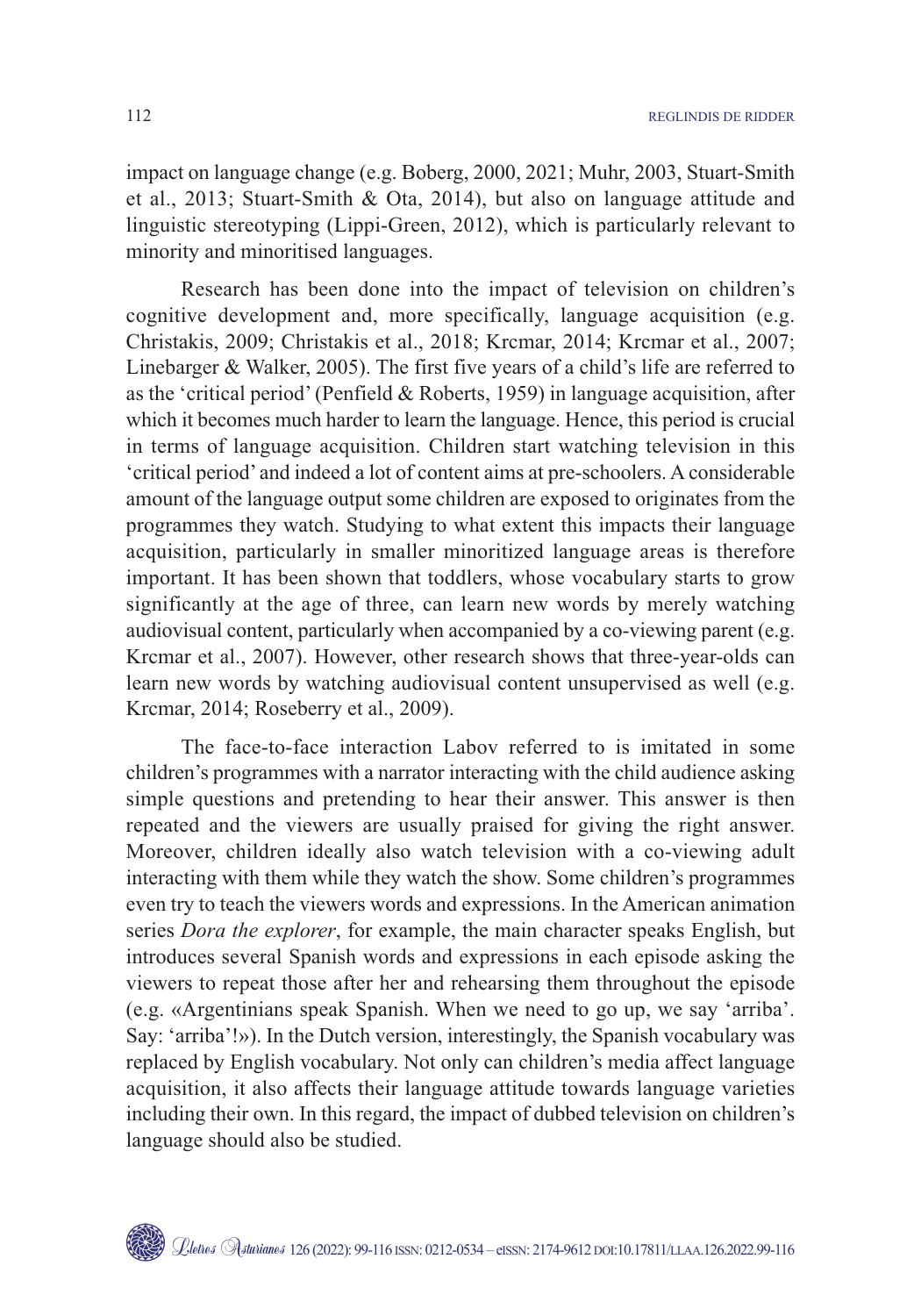impact on language change (e.g. Boberg, 2000, 2021; Muhr, 2003, Stuart-Smith et al., 2013; Stuart-Smith & Ota, 2014), but also on language attitude and linguistic stereotyping (Lippi-Green, 2012), which is particularly relevant to minority and minoritised languages.

Research has been done into the impact of television on children's cognitive development and, more specifically, language acquisition (e.g. Christakis, 2009; Christakis et al., 2018; Krcmar, 2014; Krcmar et al., 2007; Linebarger & Walker, 2005). The first five years of a child's life are referred to as the 'critical period' (Penfield & Roberts, 1959) in language acquisition, after which it becomes much harder to learn the language. Hence, this period is crucial in terms of language acquisition. Children start watching television in this 'critical period' and indeed a lot of content aims at pre-schoolers. A considerable amount of the language output some children are exposed to originates from the programmes they watch. Studying to what extent this impacts their language acquisition, particularly in smaller minoritized language areas is therefore important. It has been shown that toddlers, whose vocabulary starts to grow significantly at the age of three, can learn new words by merely watching audiovisual content, particularly when accompanied by a co-viewing parent (e.g. Krcmar et al., 2007). However, other research shows that three-year-olds can learn new words by watching audiovisual content unsupervised as well (e.g. Krcmar, 2014; Roseberry et al., 2009).

The face-to-face interaction Labov referred to is imitated in some children's programmes with a narrator interacting with the child audience asking simple questions and pretending to hear their answer. This answer is then repeated and the viewers are usually praised for giving the right answer. Moreover, children ideally also watch television with a co-viewing adult interacting with them while they watch the show. Some children's programmes even try to teach the viewers words and expressions. In the American animation series *Dora the explorer*, for example, the main character speaks English, but introduces several Spanish words and expressions in each episode asking the viewers to repeat those after her and rehearsing them throughout the episode (e.g. «Argentinians speak Spanish. When we need to go up, we say 'arriba'. Say: 'arriba'!»). In the Dutch version, interestingly, the Spanish vocabulary was replaced by English vocabulary. Not only can children's media affect language acquisition, it also affects their language attitude towards language varieties including their own. In this regard, the impact of dubbed television on children's language should also be studied.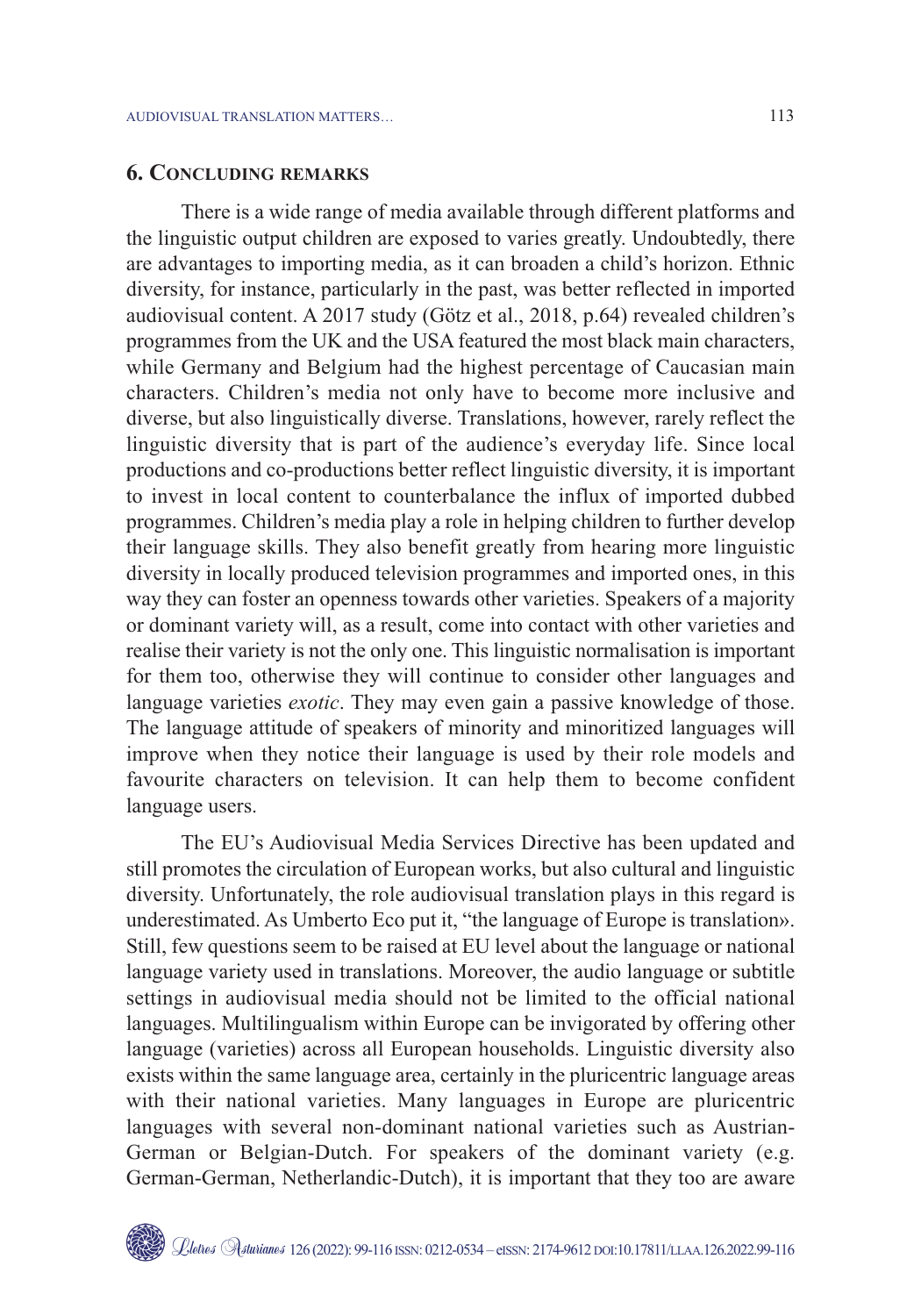## **6. CONCLUDING REMARKS**

There is a wide range of media available through different platforms and the linguistic output children are exposed to varies greatly. Undoubtedly, there are advantages to importing media, as it can broaden a child's horizon. Ethnic diversity, for instance, particularly in the past, was better reflected in imported audiovisual content. A 2017 study (Götz et al., 2018, p.64) revealed children's programmes from the UK and the USA featured the most black main characters, while Germany and Belgium had the highest percentage of Caucasian main characters. Children's media not only have to become more inclusive and diverse, but also linguistically diverse. Translations, however, rarely reflect the linguistic diversity that is part of the audience's everyday life. Since local productions and co-productions better reflect linguistic diversity, it is important to invest in local content to counterbalance the influx of imported dubbed programmes. Children's media play a role in helping children to further develop their language skills. They also benefit greatly from hearing more linguistic diversity in locally produced television programmes and imported ones, in this way they can foster an openness towards other varieties. Speakers of a majority or dominant variety will, as a result, come into contact with other varieties and realise their variety is not the only one. This linguistic normalisation is important for them too, otherwise they will continue to consider other languages and language varieties *exotic*. They may even gain a passive knowledge of those. The language attitude of speakers of minority and minoritized languages will improve when they notice their language is used by their role models and favourite characters on television. It can help them to become confident language users.

The EU's Audiovisual Media Services Directive has been updated and still promotes the circulation of European works, but also cultural and linguistic diversity. Unfortunately, the role audiovisual translation plays in this regard is underestimated. As Umberto Eco put it, "the language of Europe is translation». Still, few questions seem to be raised at EU level about the language or national language variety used in translations. Moreover, the audio language or subtitle settings in audiovisual media should not be limited to the official national languages. Multilingualism within Europe can be invigorated by offering other language (varieties) across all European households. Linguistic diversity also exists within the same language area, certainly in the pluricentric language areas with their national varieties. Many languages in Europe are pluricentric languages with several non-dominant national varieties such as Austrian-German or Belgian-Dutch. For speakers of the dominant variety (e.g. German-German, Netherlandic-Dutch), it is important that they too are aware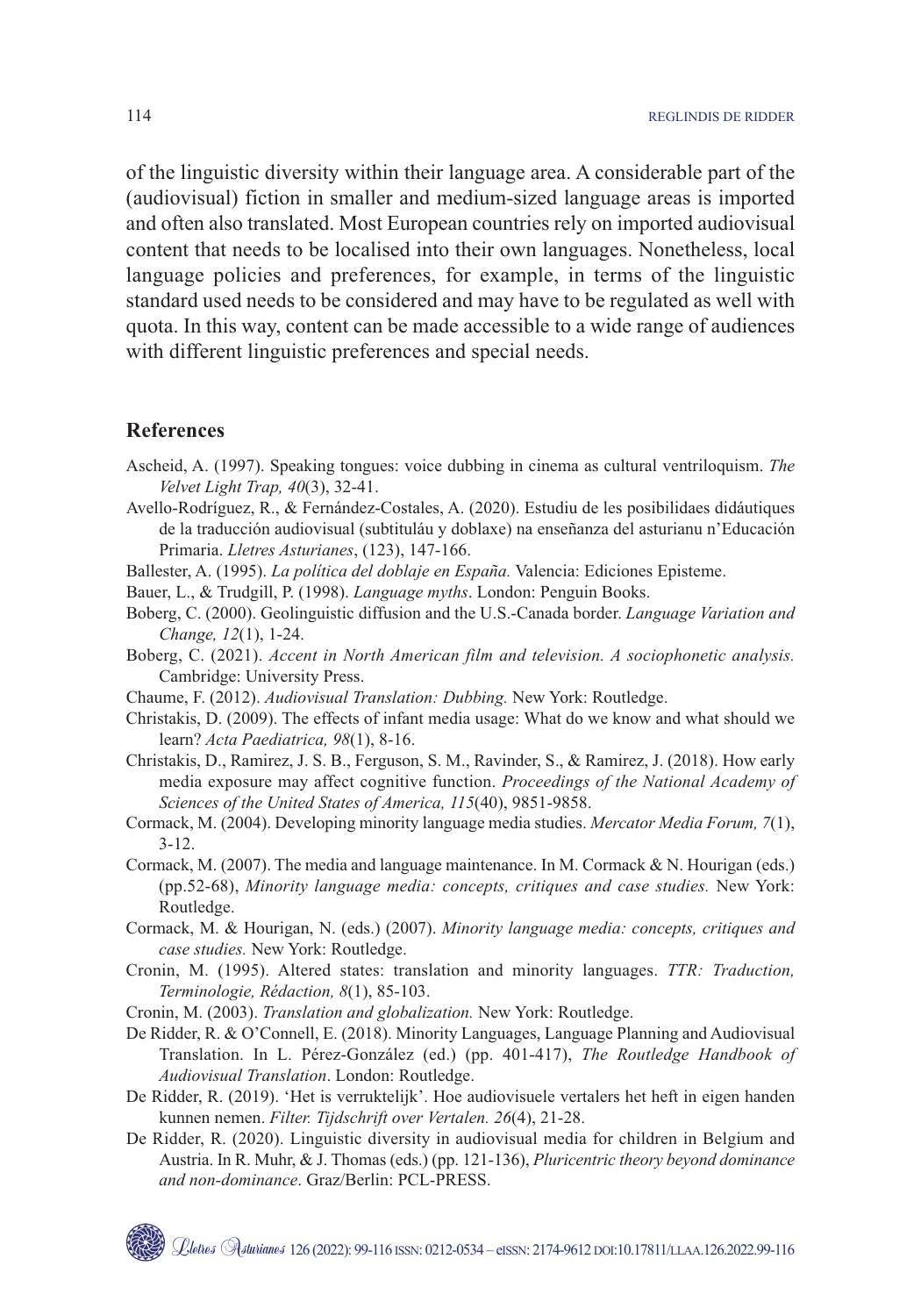of the linguistic diversity within their language area. A considerable part of the (audiovisual) fiction in smaller and medium-sized language areas is imported and often also translated. Most European countries rely on imported audiovisual content that needs to be localised into their own languages. Nonetheless, local language policies and preferences, for example, in terms of the linguistic standard used needs to be considered and may have to be regulated as well with quota. In this way, content can be made accessible to a wide range of audiences with different linguistic preferences and special needs.

#### **References**

- Ascheid, A. (1997). Speaking tongues: voice dubbing in cinema as cultural ventriloquism. *The Velvet Light Trap, 40*(3), 32-41.
- Avello-Rodríguez, R., & Fernández-Costales, A. (2020). Estudiu de les posibilidaes didáutiques de la traducción audiovisual (subtituláu y doblaxe) na enseñanza del asturianu n'Educación Primaria. *Lletres Asturianes*, (123), 147-166.
- Ballester, A. (1995). *La política del doblaje en España.* Valencia: Ediciones Episteme.
- Bauer, L., & Trudgill, P. (1998). *Language myths*. London: Penguin Books.
- Boberg, C. (2000). Geolinguistic diffusion and the U.S.-Canada border. *Language Variation and Change, 12*(1), 1-24.
- Boberg, C. (2021). *Accent in North American film and television. A sociophonetic analysis.* Cambridge: University Press.
- Chaume, F. (2012). *Audiovisual Translation: Dubbing.* New York: Routledge.
- Christakis, D. (2009). The effects of infant media usage: What do we know and what should we learn? *Acta Paediatrica, 98*(1), 8-16.
- Christakis, D., Ramirez, J. S. B., Ferguson, S. M., Ravinder, S., & Ramirez, J. (2018). How early media exposure may affect cognitive function. *Proceedings of the National Academy of Sciences of the United States of America, 115*(40), 9851-9858.
- Cormack, M. (2004). Developing minority language media studies. *Mercator Media Forum, 7*(1), 3-12.
- Cormack, M. (2007). The media and language maintenance. In M. Cormack & N. Hourigan (eds.) (pp.52-68), *Minority language media: concepts, critiques and case studies.* New York: Routledge.
- Cormack, M. & Hourigan, N. (eds.) (2007). *Minority language media: concepts, critiques and case studies.* New York: Routledge.
- Cronin, M. (1995). Altered states: translation and minority languages. *TTR: Traduction, Terminologie, Rédaction, 8*(1), 85-103.
- Cronin, M. (2003). *Translation and globalization.* New York: Routledge.
- De Ridder, R. & O'Connell, E. (2018). Minority Languages, Language Planning and Audiovisual Translation. In L. Pérez-González (ed.) (pp. 401-417), *The Routledge Handbook of Audiovisual Translation*. London: Routledge.
- De Ridder, R. (2019). 'Het is verruktelijk'. Hoe audiovisuele vertalers het heft in eigen handen kunnen nemen. *Filter. Tijdschrift over Vertalen. 26*(4), 21-28.
- De Ridder, R. (2020). Linguistic diversity in audiovisual media for children in Belgium and Austria. In R. Muhr, & J. Thomas (eds.) (pp. 121-136), *Pluricentric theory beyond dominance and non-dominance*. Graz/Berlin: PCL-PRESS.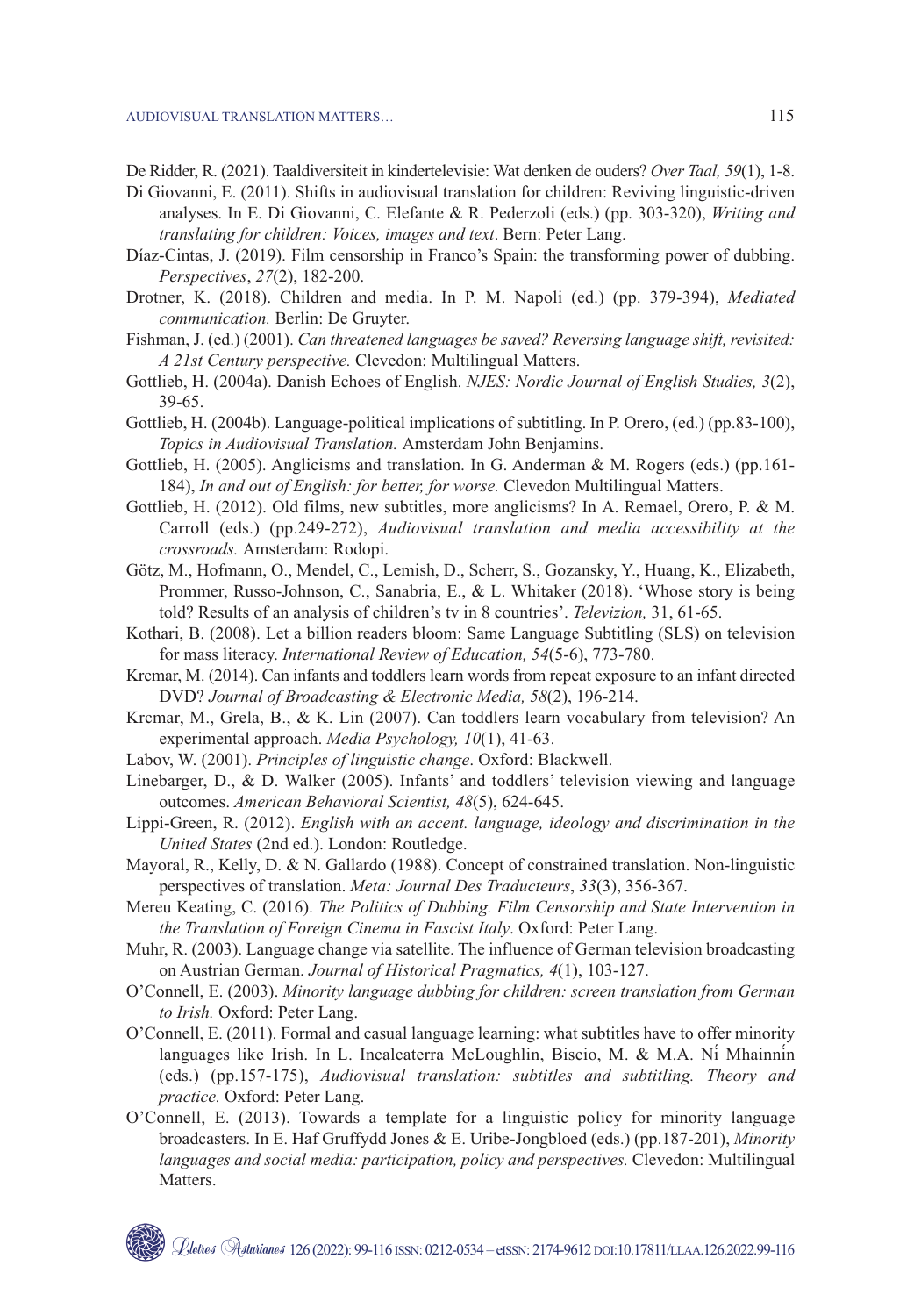AUDIOVISUAL TRANSLATION MATTERS… 115

De Ridder, R. (2021). Taaldiversiteit in kindertelevisie: Wat denken de ouders? *Over Taal, 59*(1), 1-8.

- Di Giovanni, E. (2011). Shifts in audiovisual translation for children: Reviving linguistic-driven analyses. In E. Di Giovanni, C. Elefante & R. Pederzoli (eds.) (pp. 303-320), *Writing and translating for children: Voices, images and text*. Bern: Peter Lang.
- Díaz-Cintas, J. (2019). Film censorship in Franco's Spain: the transforming power of dubbing. *Perspectives*, *27*(2), 182-200.
- Drotner, K. (2018). Children and media. In P. M. Napoli (ed.) (pp. 379-394), *Mediated communication.* Berlin: De Gruyter.
- Fishman, J. (ed.) (2001). *Can threatened languages be saved? Reversing language shift, revisited: A 21st Century perspective.* Clevedon: Multilingual Matters.
- Gottlieb, H. (2004a). Danish Echoes of English. *NJES: Nordic Journal of English Studies, 3*(2), 39-65.
- Gottlieb, H. (2004b). Language-political implications of subtitling. In P. Orero, (ed.) (pp.83-100), *Topics in Audiovisual Translation.* Amsterdam John Benjamins.
- Gottlieb, H. (2005). Anglicisms and translation. In G. Anderman & M. Rogers (eds.) (pp.161- 184), *In and out of English: for better, for worse.* Clevedon Multilingual Matters.
- Gottlieb, H. (2012). Old films, new subtitles, more anglicisms? In A. Remael, Orero, P. & M. Carroll (eds.) (pp.249-272), *Audiovisual translation and media accessibility at the crossroads.* Amsterdam: Rodopi.
- Götz, M., Hofmann, O., Mendel, C., Lemish, D., Scherr, S., Gozansky, Y., Huang, K., Elizabeth, Prommer, Russo-Johnson, C., Sanabria, E., & L. Whitaker (2018). 'Whose story is being told? Results of an analysis of children's tv in 8 countries'. *Televizion,* 31, 61-65.
- Kothari, B. (2008). Let a billion readers bloom: Same Language Subtitling (SLS) on television for mass literacy. *International Review of Education, 54*(5-6), 773-780.
- Krcmar, M. (2014). Can infants and toddlers learn words from repeat exposure to an infant directed DVD? *Journal of Broadcasting & Electronic Media, 58*(2), 196-214.
- Krcmar, M., Grela, B., & K. Lin (2007). Can toddlers learn vocabulary from television? An experimental approach. *Media Psychology, 10*(1), 41-63.
- Labov, W. (2001). *Principles of linguistic change*. Oxford: Blackwell.
- Linebarger, D., & D. Walker (2005). Infants' and toddlers' television viewing and language outcomes. *American Behavioral Scientist, 48*(5), 624-645.
- Lippi-Green, R. (2012). *English with an accent. language, ideology and discrimination in the United States* (2nd ed.). London: Routledge.
- Mayoral, R., Kelly, D. & N. Gallardo (1988). Concept of constrained translation. Non-linguistic perspectives of translation. *Meta: Journal Des Traducteurs*, *33*(3), 356-367.
- Mereu Keating, C. (2016). *The Politics of Dubbing. Film Censorship and State Intervention in the Translation of Foreign Cinema in Fascist Italy*. Oxford: Peter Lang.
- Muhr, R. (2003). Language change via satellite. The influence of German television broadcasting on Austrian German. *Journal of Historical Pragmatics, 4*(1), 103-127.
- O'Connell, E. (2003). *Minority language dubbing for children: screen translation from German to Irish.* Oxford: Peter Lang.
- O'Connell, E. (2011). Formal and casual language learning: what subtitles have to offer minority languages like Irish. In L. Incalcaterra McLoughlin, Biscio, M. & M.A. Ní Mhainnín (eds.) (pp.157-175), *Audiovisual translation: subtitles and subtitling. Theory and practice.* Oxford: Peter Lang.
- O'Connell, E. (2013). Towards a template for a linguistic policy for minority language broadcasters. In E. Haf Gruffydd Jones & E. Uribe-Jongbloed (eds.) (pp.187-201), *Minority languages and social media: participation, policy and perspectives.* Clevedon: Multilingual Matters.